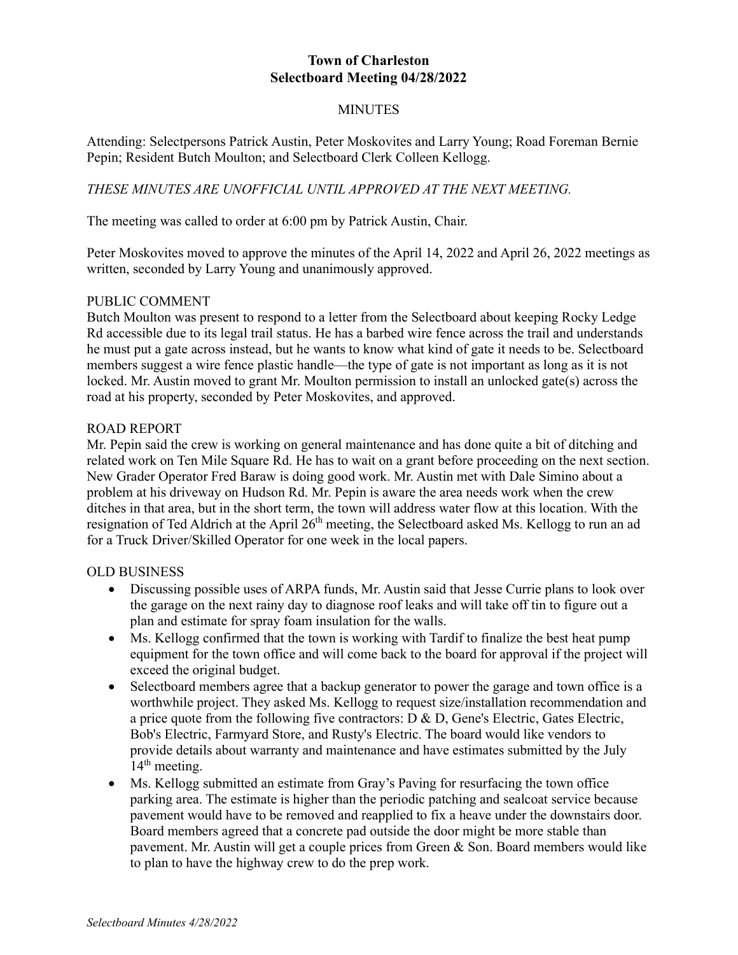## **Town of Charleston Selectboard Meeting 04/28/2022**

### **MINUTES**

Attending: Selectpersons Patrick Austin, Peter Moskovites and Larry Young; Road Foreman Bernie Pepin; Resident Butch Moulton; and Selectboard Clerk Colleen Kellogg.

## *THESE MINUTES ARE UNOFFICIAL UNTIL APPROVED AT THE NEXT MEETING.*

The meeting was called to order at 6:00 pm by Patrick Austin, Chair.

Peter Moskovites moved to approve the minutes of the April 14, 2022 and April 26, 2022 meetings as written, seconded by Larry Young and unanimously approved.

#### PUBLIC COMMENT

Butch Moulton was present to respond to a letter from the Selectboard about keeping Rocky Ledge Rd accessible due to its legal trail status. He has a barbed wire fence across the trail and understands he must put a gate across instead, but he wants to know what kind of gate it needs to be. Selectboard members suggest a wire fence plastic handle—the type of gate is not important as long as it is not locked. Mr. Austin moved to grant Mr. Moulton permission to install an unlocked gate(s) across the road at his property, seconded by Peter Moskovites, and approved.

#### ROAD REPORT

Mr. Pepin said the crew is working on general maintenance and has done quite a bit of ditching and related work on Ten Mile Square Rd. He has to wait on a grant before proceeding on the next section. New Grader Operator Fred Baraw is doing good work. Mr. Austin met with Dale Simino about a problem at his driveway on Hudson Rd. Mr. Pepin is aware the area needs work when the crew ditches in that area, but in the short term, the town will address water flow at this location. With the resignation of Ted Aldrich at the April 26<sup>th</sup> meeting, the Selectboard asked Ms. Kellogg to run an ad for a Truck Driver/Skilled Operator for one week in the local papers.

#### OLD BUSINESS

- Discussing possible uses of ARPA funds, Mr. Austin said that Jesse Currie plans to look over the garage on the next rainy day to diagnose roof leaks and will take off tin to figure out a plan and estimate for spray foam insulation for the walls.
- Ms. Kellogg confirmed that the town is working with Tardif to finalize the best heat pump equipment for the town office and will come back to the board for approval if the project will exceed the original budget.
- Selectboard members agree that a backup generator to power the garage and town office is a worthwhile project. They asked Ms. Kellogg to request size/installation recommendation and a price quote from the following five contractors:  $D \& D$ , Gene's Electric, Gates Electric, Bob's Electric, Farmyard Store, and Rusty's Electric. The board would like vendors to provide details about warranty and maintenance and have estimates submitted by the July  $14<sup>th</sup>$  meeting.
- Ms. Kellogg submitted an estimate from Gray's Paving for resurfacing the town office parking area. The estimate is higher than the periodic patching and sealcoat service because pavement would have to be removed and reapplied to fix a heave under the downstairs door. Board members agreed that a concrete pad outside the door might be more stable than pavement. Mr. Austin will get a couple prices from Green & Son. Board members would like to plan to have the highway crew to do the prep work.